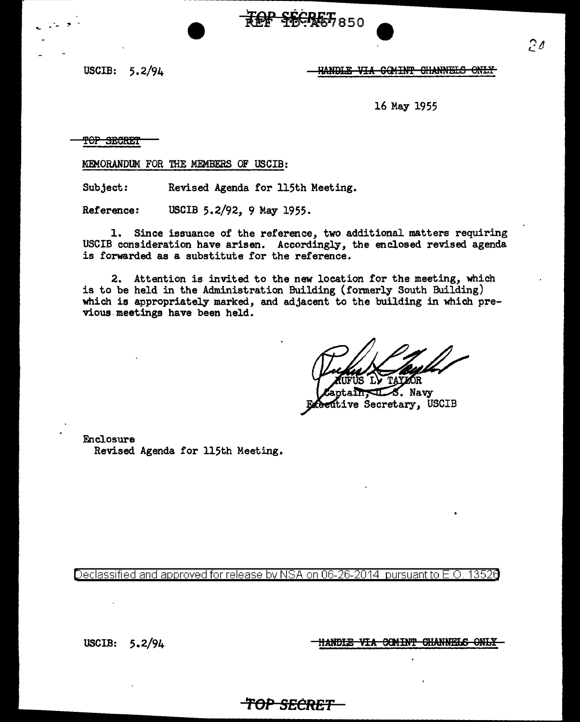## USCIB: 5.2/94 **HANDLE VIA GOMINT CHANNELS ONLY**

16 May 1955

TOP SECRET

MEMORANDUM FOR THE MEMBERS OF USCIB:

Subject: Revised Agenda for 115th Meeting.

Reference: USCIB 5.2/92, 9 May 1955.

1. Since issuance of the reference, two additional matters requiring USCIB consideration have arisen. Accordingly, the enclosed revised agenda is forwarded as a substitute for the reference.

**TOP SECRET 850** 

2. Attention is invited to the new location for the meeting, which is to be held in the Administration Building (fonnerly South Building) which is appropriately marked, and adjacent to the building in which previous- meetings have been held.

Navy itive Secretary, USCIB

Enclosure Revised Agenda for 115th Meeting.

Declassified and approved for release by NSA on 06-26-2014 pursuant to E.O. 13526

*TOP SECRET* 

USCIB: 5.2/94

HANDLE VIA COMINT CHANNELS ONLY

، م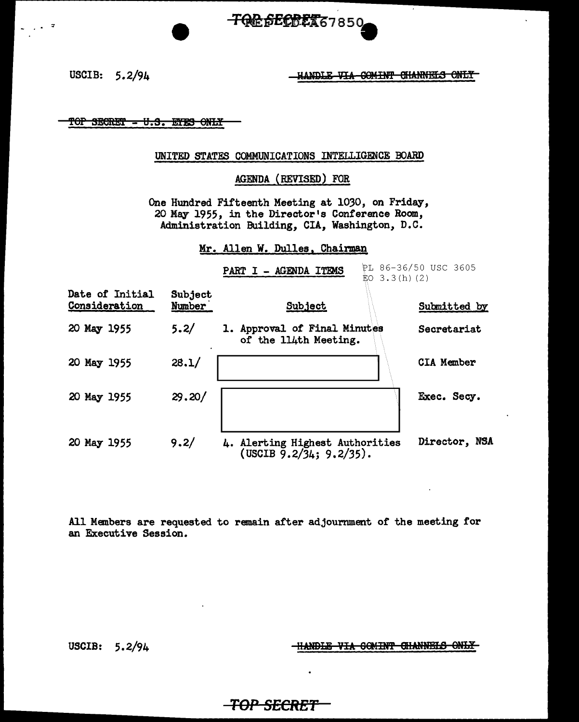್

USCIB: 5.2/94 M.WDLE-VIA GOMINT GHANNELS ONLY

TOP SECRET - U.S. EYES ONLY

### UNITED STATES COMMUNICATIONS INTELLIGENCE BOARD

**TOR SECRET67850** 

### AGENDA (REVISED) FOR

One Hundred Fifteenth Meeting at 1030, on Friday, 20 May 1955, in the Director's Conference Room, Administration Building, CIA, Washington, D.C.

Mr. Allen W. Dulles, Chairman

|                                  | Subject<br>Number | PL 86-36/50 USC 3605<br>- AGENDA ITEMS<br><b>PART I</b><br>$$0\;3.3(h)(2)$        |                   |
|----------------------------------|-------------------|-----------------------------------------------------------------------------------|-------------------|
| Date of Initial<br>Consideration |                   | Subject                                                                           | Submitted by      |
| 20 May 1955                      | 5.2/              | 1. Approval of Final Minutes<br>of the 114th Meeting.                             | Secretariat       |
| 20 May 1955                      | 28.1/             |                                                                                   | <b>CIA Member</b> |
| 20 May 1955                      | 29.20/            |                                                                                   | Exec. Secy.       |
| 20 May 1955                      | 9.2/              | 4. Alerting Highest Authorities<br>$(USCIB \, \bar{9}.2/\bar{3}4; 9.2/\bar{3}5).$ | Director, NSA     |

All Members are requested to remain after adjournment of the meeting for an Executive Session.

USCIB:  $5.2/94$   $+$   $+$   $+$   $+$   $+$   $+$   $+$   $+$   $+$   $+$   $+$   $+$   $+$   $+$   $+$   $+$   $+$   $+$   $+$   $+$   $+$   $+$   $+$   $+$   $+$   $+$   $+$   $+$   $-$ 

## **TOP SECRET**